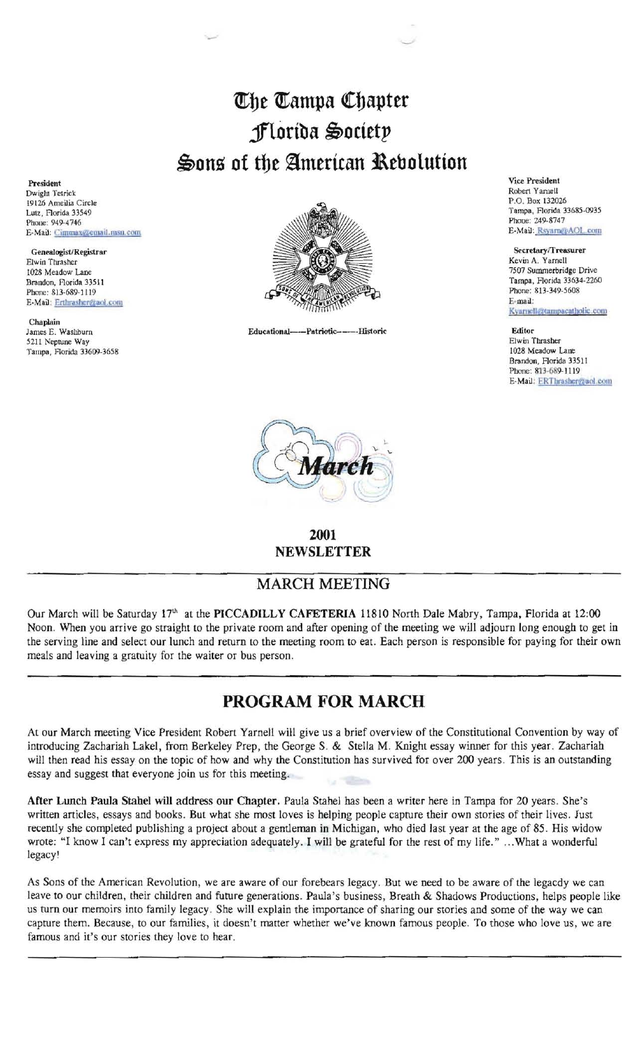## $\mathbb{C}$ he  $\mathbb{C}$ ampa Chapter **jflortba** ~ocietp  $\clubsuit$ ons of the American Rebolution

President Dwight Tetrick 19126 Ameilia Circle Lutz, Florida 33549 Phone: 949-4746 E-Mail: Cimmax@email.msn.com

Genealogist/Registrar Elwin Thrasher 1028 Meadow Lane Brandon, Florida 33511 Phone: 813-689-1119 E-Mail: Erthrasher@aol.com

Chaplain James E. Washburn 5211 Neptune Way Tampa, Florida 33609-3658



Educational---Patriotic-----Historic



**2001**  NEWSLETTER

## MARCH MEETING

Our March will be Saturday 17<sup>th</sup> at the PICCADILLY CAFETERIA 11810 North Dale Mabry, Tampa, Florida at 12:00 Noon. When you arrive go straight to the private room and after opening of the meeting we will adjourn long enough to get in the serving line and select our lunch and return to the meeting room to eat. Each person is responsible for paying for their own meals and leaving a gratuity for the waiter or bus person.

## **PROGRAM FOR MARCH**

At our March meeting Vice President Robert Yarnell will give us a brief overview of the Constitutional Convention by way of introducing Zachariah Lakel, from Berkeley Prep, the George S. & Stella M. Knight essay winner for this year. Zachariah will then read his essay on the topic of how and why the Constitution has survived for over 200 years. This is an outstanding essay and suggest that everyone join us for this meeting.

After Lunch Paula Stahel will address our Chapter. Paula Stahel has been a writer here in Tampa for 20 years. She's written articles, essays and books. But what she most loves is helping people capture their own stories of their lives. Just recently she completed publishing a project about a gentleman in Michigan, who died last year at the age of 85. His widow wrote: "I know I can't express my appreciation adequately. I will be grateful for the rest of my life." ...What a wonderful legacy'

As Sons of the American Revolution, we are aware of our forebears legacy. But we need to be aware of the legacdy we can leave to our children, their children and future generations. Paula's business, Breath & Shadows Productions, helps people like us tum our memoirs into family legacy. She will explain the importance of sharing our stories and some of the way we can capture them. Because, to our families, it doesn't matter whether we've known famous people. To those who love us, we are famous and it's our stories they love to hear.

Vice President Robert Yamell P.O. Box 132026 Tampa, Florida *33685-0935*  Phone: 249-8747 E-Mail: Rsyarm@AOL.com

Secretary/Treasurer Kevin A. Yarnell 7507 Summerbridge Drive Tampa, Florida 33634-2260 Phone: 813-349-5608 E~mai1: Kyarnell@tampacatholic.com

Editor Elwin Thrasher 1028 Meadow Lane Brandon, Florida 33511 Phone: 813-689-1119 E-Mail: ERThrasher@aol.com